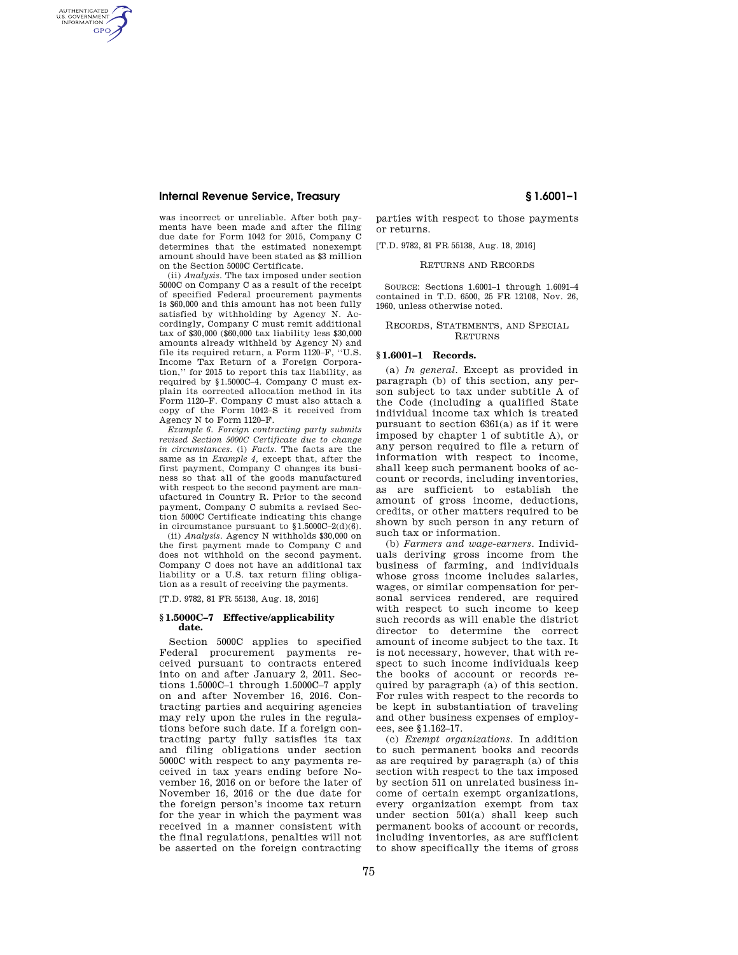# **Internal Revenue Service, Treasury § 1.6001–1**

AUTHENTICATED<br>U.S. GOVERNMENT<br>INFORMATION **GPO** 

> was incorrect or unreliable. After both payments have been made and after the filing due date for Form 1042 for 2015, Company C determines that the estimated nonexempt amount should have been stated as \$3 million on the Section 5000C Certificate.

> (ii) *Analysis.* The tax imposed under section 5000C on Company C as a result of the receipt of specified Federal procurement payments is \$60,000 and this amount has not been fully satisfied by withholding by Agency N. Accordingly, Company C must remit additional tax of \$30,000 (\$60,000 tax liability less \$30,000 amounts already withheld by Agency N) and file its required return, a Form 1120–F, ''U.S. Income Tax Return of a Foreign Corporation,'' for 2015 to report this tax liability, as required by §1.5000C–4. Company C must explain its corrected allocation method in its Form 1120–F. Company C must also attach a copy of the Form 1042–S it received from Agency N to Form 1120–F.

> *Example 6. Foreign contracting party submits revised Section 5000C Certificate due to change in circumstances.* (i) *Facts.* The facts are the same as in *Example 4,* except that, after the first payment, Company C changes its business so that all of the goods manufactured with respect to the second payment are manufactured in Country R. Prior to the second payment, Company C submits a revised Section 5000C Certificate indicating this change in circumstance pursuant to  $$1.5000C-2(d)(6)$ .

> (ii) *Analysis.* Agency N withholds \$30,000 on the first payment made to Company C and does not withhold on the second payment. Company C does not have an additional tax liability or a U.S. tax return filing obligation as a result of receiving the payments.

[T.D. 9782, 81 FR 55138, Aug. 18, 2016]

#### **§ 1.5000C–7 Effective/applicability date.**

Section 5000C applies to specified Federal procurement payments received pursuant to contracts entered into on and after January 2, 2011. Sections 1.5000C–1 through 1.5000C–7 apply on and after November 16, 2016. Contracting parties and acquiring agencies may rely upon the rules in the regulations before such date. If a foreign contracting party fully satisfies its tax and filing obligations under section 5000C with respect to any payments received in tax years ending before November 16, 2016 on or before the later of November 16, 2016 or the due date for the foreign person's income tax return for the year in which the payment was received in a manner consistent with the final regulations, penalties will not be asserted on the foreign contracting

parties with respect to those payments or returns.

[T.D. 9782, 81 FR 55138, Aug. 18, 2016]

RETURNS AND RECORDS

SOURCE: Sections 1.6001–1 through 1.6091–4 contained in T.D. 6500, 25 FR 12108, Nov. 26, 1960, unless otherwise noted.

RECORDS, STATEMENTS, AND SPECIAL **RETURNS** 

### **§ 1.6001–1 Records.**

(a) *In general.* Except as provided in paragraph (b) of this section, any person subject to tax under subtitle A of the Code (including a qualified State individual income tax which is treated pursuant to section 6361(a) as if it were imposed by chapter 1 of subtitle A), or any person required to file a return of information with respect to income, shall keep such permanent books of account or records, including inventories, as are sufficient to establish the amount of gross income, deductions, credits, or other matters required to be shown by such person in any return of such tax or information.

(b) *Farmers and wage-earners.* Individuals deriving gross income from the business of farming, and individuals whose gross income includes salaries, wages, or similar compensation for personal services rendered, are required with respect to such income to keep such records as will enable the district director to determine the correct amount of income subject to the tax. It is not necessary, however, that with respect to such income individuals keep the books of account or records required by paragraph (a) of this section. For rules with respect to the records to be kept in substantiation of traveling and other business expenses of employees, see §1.162–17.

(c) *Exempt organizations.* In addition to such permanent books and records as are required by paragraph (a) of this section with respect to the tax imposed by section 511 on unrelated business income of certain exempt organizations, every organization exempt from tax under section 501(a) shall keep such permanent books of account or records, including inventories, as are sufficient to show specifically the items of gross